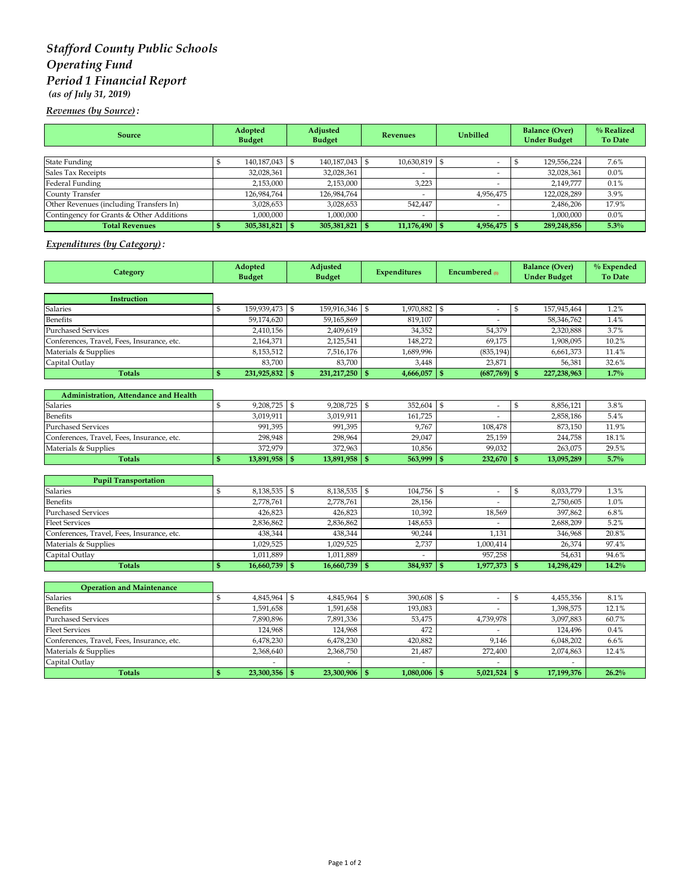## *Stafford County Public Schools Operating Fund Period 1 Financial Report (as of July 31, 2019)*

*Revenues (by Source) :*

| Source                                   | Adopted<br><b>Budget</b> |  | Adjusted<br><b>Budget</b> |  | Revenues                 |  | Unbilled                 |  | <b>Balance (Over)</b><br><b>Under Budget</b> | % Realized<br><b>To Date</b> |
|------------------------------------------|--------------------------|--|---------------------------|--|--------------------------|--|--------------------------|--|----------------------------------------------|------------------------------|
|                                          |                          |  |                           |  |                          |  |                          |  |                                              |                              |
| <b>State Funding</b>                     | 140,187,043 \$           |  | 140,187,043               |  | 10,630,819               |  |                          |  | 129,556,224                                  | 7.6%                         |
| Sales Tax Receipts                       | 32,028,361               |  | 32,028,361                |  | $\overline{\phantom{a}}$ |  |                          |  | 32,028,361                                   | $0.0\%$                      |
| Federal Funding                          | 2,153,000                |  | 2,153,000                 |  | 3,223                    |  |                          |  | 2.149.777                                    | 0.1%                         |
| County Transfer                          | 126,984,764              |  | 126,984,764               |  |                          |  | 4,956,475                |  | 122,028,289                                  | 3.9%                         |
| Other Revenues (including Transfers In)  | 3,028,653                |  | 3,028,653                 |  | 542.447                  |  |                          |  | 2,486,206                                    | 17.9%                        |
| Contingency for Grants & Other Additions | 1,000,000                |  | 1,000,000                 |  |                          |  | $\overline{\phantom{a}}$ |  | 1.000.000                                    | $0.0\%$                      |
| <b>Total Revenues</b>                    | 305,381,821              |  | 305,381,821               |  | $11,176,490$ \$          |  | $4,956,475$ \$           |  | 289,248,856                                  | 5.3%                         |

## *Expenditures (by Category) :*

| Category                                   | Adopted<br><b>Budget</b> |                 | Adjusted<br><b>Budget</b> |                 | <b>Expenditures</b> |           | Encumbered m                   |                | <b>Balance (Over)</b><br><b>Under Budget</b> | % Expended<br><b>To Date</b> |
|--------------------------------------------|--------------------------|-----------------|---------------------------|-----------------|---------------------|-----------|--------------------------------|----------------|----------------------------------------------|------------------------------|
|                                            |                          |                 |                           |                 |                     |           |                                |                |                                              |                              |
| Instruction                                |                          |                 |                           |                 |                     |           |                                |                |                                              |                              |
| <b>Salaries</b>                            | $\mathbb{S}$             | 159,939,473     | $\sqrt{5}$                | 159,916,346     | $\mathbf{s}$        | 1,970,882 | \$<br>$\overline{\phantom{a}}$ | ${\mathbb S}$  | 157,945,464                                  | 1.2%                         |
| <b>Benefits</b>                            |                          | 59.174.620      |                           | 59.165.869      |                     | 819.107   |                                |                | 58,346,762                                   | 1.4%                         |
| <b>Purchased Services</b>                  |                          | 2,410,156       |                           | 2,409,619       |                     | 34,352    | 54,379                         |                | 2,320,888                                    | 3.7%                         |
| Conferences, Travel, Fees, Insurance, etc. |                          | 2,164,371       |                           | 2,125,541       |                     | 148,272   | 69,175                         |                | 1,908,095                                    | 10.2%                        |
| Materials & Supplies                       |                          | 8,153,512       |                           | 7,516,176       |                     | 1,689,996 | (835, 194)                     |                | 6,661,373                                    | 11.4%                        |
| Capital Outlay                             |                          | 83,700          |                           | 83,700          |                     | 3,448     | 23,871                         |                | 56,381                                       | 32.6%                        |
| <b>Totals</b>                              | $\mathbf{s}$             | 231,925,832 \$  |                           | 231, 217, 250   | $\mathbf{s}$        | 4,666,057 | $(687,769)$ \$<br>$\mathbf{S}$ |                | 227,238,963                                  | 1.7%                         |
|                                            |                          |                 |                           |                 |                     |           |                                |                |                                              |                              |
| Administration, Attendance and Health      | $\mathbb{S}$             |                 |                           |                 |                     |           |                                |                |                                              |                              |
| Salaries<br><b>Benefits</b>                |                          | 9,208,725 \$    |                           | 9,208,725       | $\mathfrak{s}$      | 352,604   | \$<br>$\overline{\phantom{a}}$ | $\mathfrak{s}$ | 8,856,121                                    | 3.8%                         |
|                                            |                          | 3,019,911       |                           | 3,019,911       |                     | 161,725   |                                |                | 2,858,186                                    | 5.4%                         |
| <b>Purchased Services</b>                  |                          | 991,395         |                           | 991,395         |                     | 9,767     | 108,478                        |                | 873,150                                      | 11.9%                        |
| Conferences, Travel, Fees, Insurance, etc. |                          | 298,948         |                           | 298,964         |                     | 29,047    | 25,159                         |                | 244,758                                      | 18.1%                        |
| Materials & Supplies                       |                          | 372,979         |                           | 372,963         |                     | 10.856    | 99.032                         |                | 263,075                                      | 29.5%                        |
| <b>Totals</b>                              | $\mathbf{s}$             | $13,891,958$ \$ |                           | $13,891,958$ \$ |                     | 563,999   | $\mathsf{I}$<br>$232,670$ \$   |                | 13,095,289                                   | 5.7%                         |
| <b>Pupil Transportation</b>                |                          |                 |                           |                 |                     |           |                                |                |                                              |                              |
| Salaries                                   | \$                       | 8,138,535 \$    |                           | 8,138,535       | \$                  | 104,756   | \$<br>$\overline{\phantom{a}}$ | \$             | 8,033,779                                    | 1.3%                         |
| Benefits                                   |                          | 2,778,761       |                           | 2,778,761       |                     | 28,156    | $\overline{\phantom{a}}$       |                | 2,750,605                                    | 1.0%                         |
| <b>Purchased Services</b>                  |                          | 426.823         |                           | 426.823         |                     | 10,392    | 18,569                         |                | 397,862                                      | 6.8%                         |
| <b>Fleet Services</b>                      |                          | 2,836,862       |                           | 2,836,862       |                     | 148,653   |                                |                | 2,688,209                                    | 5.2%                         |
| Conferences, Travel, Fees, Insurance, etc. |                          | 438,344         |                           | 438,344         |                     | 90,244    | 1,131                          |                | 346,968                                      | 20.8%                        |
| Materials & Supplies                       |                          | 1,029,525       |                           | 1,029,525       |                     | 2,737     | 1,000,414                      |                | 26,374                                       | 97.4%                        |
| Capital Outlay                             |                          | 1,011,889       |                           | 1,011,889       |                     |           | 957,258                        |                | 54,631                                       | 94.6%                        |
| <b>Totals</b>                              | \$                       | 16,660,739      | $\sqrt{5}$                | 16,660,739      | $\mathbf{\$}$       | 384,937   | $\mathbf{s}$<br>1,977,373      | $\vert$ \$     | 14,298,429                                   | 14.2%                        |
|                                            |                          |                 |                           |                 |                     |           |                                |                |                                              |                              |
| <b>Operation and Maintenance</b>           |                          |                 |                           |                 |                     |           |                                |                |                                              |                              |
| <b>Salaries</b>                            | $\mathbb{S}$             | 4,845,964 \$    |                           | 4,845,964       | l \$                | 390,608   | \$<br>$\overline{\phantom{a}}$ | \$             | 4,455,356                                    | 8.1%                         |
| <b>Benefits</b>                            |                          | 1,591,658       |                           | 1,591,658       |                     | 193,083   |                                |                | 1,398,575                                    | 12.1%                        |
| <b>Purchased Services</b>                  |                          | 7,890,896       |                           | 7,891,336       |                     | 53,475    | 4,739,978                      |                | 3,097,883                                    | 60.7%                        |
| <b>Fleet Services</b>                      |                          | 124,968         |                           | 124,968         |                     | 472       |                                |                | 124,496                                      | 0.4%                         |
| Conferences, Travel, Fees, Insurance, etc. |                          | 6,478,230       |                           | 6,478,230       |                     | 420,882   | 9,146                          |                | 6,048,202                                    | 6.6%                         |
| Materials & Supplies                       |                          | 2,368,640       |                           | 2,368,750       |                     | 21,487    | 272,400                        |                | 2,074,863                                    | 12.4%                        |
| Capital Outlay                             |                          | ٠               |                           | ٠               |                     | ٠         | $\tilde{\phantom{a}}$          |                | ٠                                            |                              |

**Totals 23,300,356 \$ 23,300,906 \$ 1,080,006 \$ 5,021,524 \$ 17,199,376 \$ 26.2%**